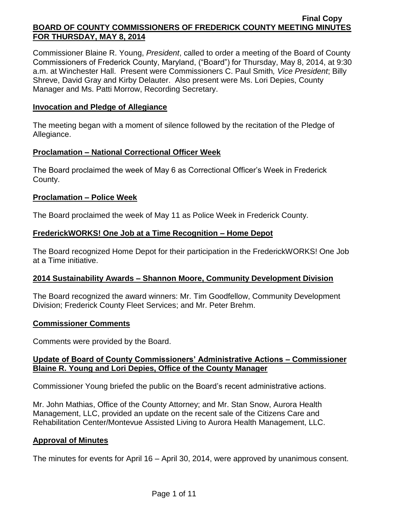Commissioner Blaine R. Young, *President*, called to order a meeting of the Board of County Commissioners of Frederick County, Maryland, ("Board") for Thursday, May 8, 2014, at 9:30 a.m. at Winchester Hall. Present were Commissioners C. Paul Smith*, Vice President*; Billy Shreve, David Gray and Kirby Delauter. Also present were Ms. Lori Depies, County Manager and Ms. Patti Morrow, Recording Secretary.

### **Invocation and Pledge of Allegiance**

The meeting began with a moment of silence followed by the recitation of the Pledge of Allegiance.

#### **Proclamation – National Correctional Officer Week**

The Board proclaimed the week of May 6 as Correctional Officer's Week in Frederick County.

#### **Proclamation – Police Week**

The Board proclaimed the week of May 11 as Police Week in Frederick County.

## **FrederickWORKS! One Job at a Time Recognition – Home Depot**

The Board recognized Home Depot for their participation in the FrederickWORKS! One Job at a Time initiative.

## **2014 Sustainability Awards – Shannon Moore, Community Development Division**

The Board recognized the award winners: Mr. Tim Goodfellow, Community Development Division; Frederick County Fleet Services; and Mr. Peter Brehm.

## **Commissioner Comments**

Comments were provided by the Board.

## **Update of Board of County Commissioners' Administrative Actions – Commissioner Blaine R. Young and Lori Depies, Office of the County Manager**

Commissioner Young briefed the public on the Board's recent administrative actions.

Mr. John Mathias, Office of the County Attorney; and Mr. Stan Snow, Aurora Health Management, LLC, provided an update on the recent sale of the Citizens Care and Rehabilitation Center/Montevue Assisted Living to Aurora Health Management, LLC.

## **Approval of Minutes**

The minutes for events for April 16 – April 30, 2014, were approved by unanimous consent.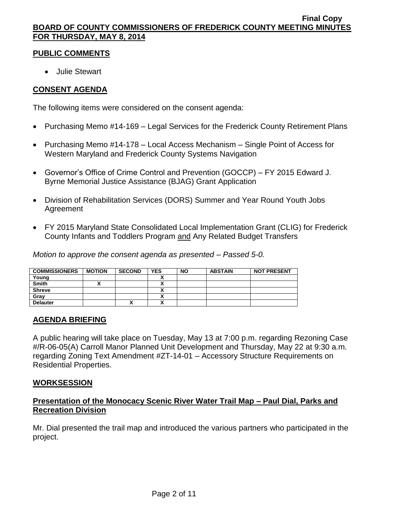## **PUBLIC COMMENTS**

Julie Stewart

## **CONSENT AGENDA**

The following items were considered on the consent agenda:

- Purchasing Memo #14-169 Legal Services for the Frederick County Retirement Plans
- Purchasing Memo #14-178 Local Access Mechanism Single Point of Access for Western Maryland and Frederick County Systems Navigation
- Governor's Office of Crime Control and Prevention (GOCCP) FY 2015 Edward J. Byrne Memorial Justice Assistance (BJAG) Grant Application
- Division of Rehabilitation Services (DORS) Summer and Year Round Youth Jobs Agreement
- FY 2015 Maryland State Consolidated Local Implementation Grant (CLIG) for Frederick County Infants and Toddlers Program and Any Related Budget Transfers

*Motion to approve the consent agenda as presented – Passed 5-0.*

| <b>COMMISSIONERS</b> | <b>MOTION</b> | <b>SECOND</b> | <b>YES</b> | <b>NO</b> | <b>ABSTAIN</b> | <b>NOT PRESENT</b> |
|----------------------|---------------|---------------|------------|-----------|----------------|--------------------|
| Young                |               |               |            |           |                |                    |
| <b>Smith</b>         |               |               |            |           |                |                    |
| <b>Shreve</b>        |               |               |            |           |                |                    |
| Grav                 |               |               |            |           |                |                    |
| <b>Delauter</b>      |               | Λ             | v          |           |                |                    |

## **AGENDA BRIEFING**

A public hearing will take place on Tuesday, May 13 at 7:00 p.m. regarding Rezoning Case #/R-06-05(A) Carroll Manor Planned Unit Development and Thursday, May 22 at 9:30 a.m. regarding Zoning Text Amendment #ZT-14-01 – Accessory Structure Requirements on Residential Properties.

## **WORKSESSION**

## **Presentation of the Monocacy Scenic River Water Trail Map – Paul Dial, Parks and Recreation Division**

Mr. Dial presented the trail map and introduced the various partners who participated in the project.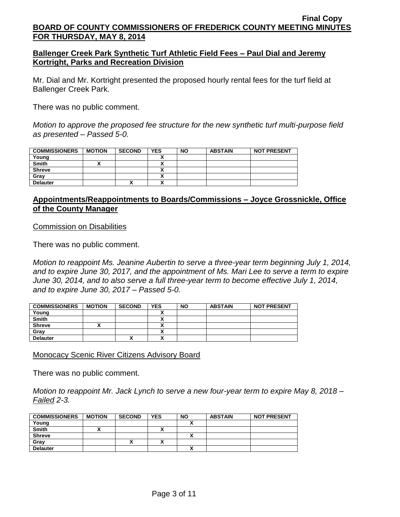### **Ballenger Creek Park Synthetic Turf Athletic Field Fees – Paul Dial and Jeremy Kortright, Parks and Recreation Division**

Mr. Dial and Mr. Kortright presented the proposed hourly rental fees for the turf field at Ballenger Creek Park.

There was no public comment.

*Motion to approve the proposed fee structure for the new synthetic turf multi-purpose field as presented – Passed 5-0.*

| <b>COMMISSIONERS</b> | <b>MOTION</b> | <b>SECOND</b> | <b>YES</b> | <b>NO</b> | <b>ABSTAIN</b> | <b>NOT PRESENT</b> |
|----------------------|---------------|---------------|------------|-----------|----------------|--------------------|
| Young                |               |               |            |           |                |                    |
| <b>Smith</b>         |               |               |            |           |                |                    |
| <b>Shreve</b>        |               |               |            |           |                |                    |
| Gray                 |               |               |            |           |                |                    |
| <b>Delauter</b>      |               | ́             | ^          |           |                |                    |

## **Appointments/Reappointments to Boards/Commissions – Joyce Grossnickle, Office of the County Manager**

Commission on Disabilities

There was no public comment.

*Motion to reappoint Ms. Jeanine Aubertin to serve a three-year term beginning July 1, 2014, and to expire June 30, 2017, and the appointment of Ms. Mari Lee to serve a term to expire June 30, 2014, and to also serve a full three-year term to become effective July 1, 2014, and to expire June 30, 2017 – Passed 5-0.*

| <b>COMMISSIONERS</b> | <b>MOTION</b> | <b>SECOND</b> | <b>YES</b> | <b>NO</b> | <b>ABSTAIN</b> | <b>NOT PRESENT</b> |
|----------------------|---------------|---------------|------------|-----------|----------------|--------------------|
| Young                |               |               |            |           |                |                    |
| <b>Smith</b>         |               |               |            |           |                |                    |
| <b>Shreve</b>        |               |               |            |           |                |                    |
| Gray                 |               |               |            |           |                |                    |
| <b>Delauter</b>      |               |               |            |           |                |                    |

Monocacy Scenic River Citizens Advisory Board

There was no public comment.

*Motion to reappoint Mr. Jack Lynch to serve a new four-year term to expire May 8, 2018 – Failed 2-3.*

| <b>COMMISSIONERS</b> | <b>MOTION</b> | <b>SECOND</b> | <b>YES</b> | <b>NO</b> | <b>ABSTAIN</b> | <b>NOT PRESENT</b> |
|----------------------|---------------|---------------|------------|-----------|----------------|--------------------|
| Young                |               |               |            |           |                |                    |
| <b>Smith</b>         |               |               | ~          |           |                |                    |
| <b>Shreve</b>        |               |               |            |           |                |                    |
| Gray                 |               | "             | ~          |           |                |                    |
| <b>Delauter</b>      |               |               |            |           |                |                    |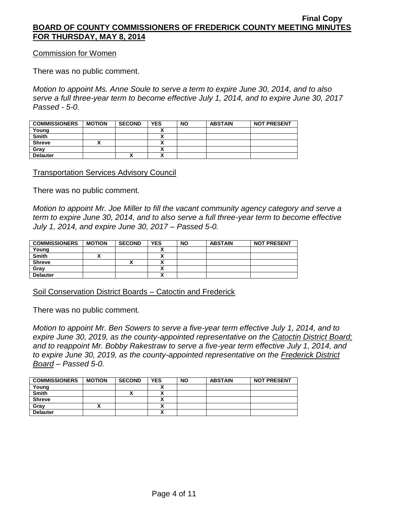Commission for Women

There was no public comment.

*Motion to appoint Ms. Anne Soule to serve a term to expire June 30, 2014, and to also serve a full three-year term to become effective July 1, 2014, and to expire June 30, 2017 Passed - 5-0.*

| <b>COMMISSIONERS</b> | <b>MOTION</b> | <b>SECOND</b> | <b>YES</b> | <b>NO</b> | <b>ABSTAIN</b> | <b>NOT PRESENT</b> |
|----------------------|---------------|---------------|------------|-----------|----------------|--------------------|
| Young                |               |               |            |           |                |                    |
| <b>Smith</b>         |               |               |            |           |                |                    |
| <b>Shreve</b>        |               |               |            |           |                |                    |
| Gray                 |               |               |            |           |                |                    |
| <b>Delauter</b>      |               | Λ             | ^          |           |                |                    |

Transportation Services Advisory Council

There was no public comment.

*Motion to appoint Mr. Joe Miller to fill the vacant community agency category and serve a term to expire June 30, 2014, and to also serve a full three-year term to become effective July 1, 2014, and expire June 30, 2017 – Passed 5-0.*

| <b>COMMISSIONERS</b> | <b>MOTION</b> | <b>SECOND</b> | <b>YES</b> | <b>NO</b> | <b>ABSTAIN</b> | <b>NOT PRESENT</b> |
|----------------------|---------------|---------------|------------|-----------|----------------|--------------------|
| Young                |               |               |            |           |                |                    |
| <b>Smith</b>         |               |               | ^          |           |                |                    |
| <b>Shreve</b>        |               |               | 灬          |           |                |                    |
| Grav                 |               |               | ↗          |           |                |                    |
| <b>Delauter</b>      |               |               | Λ          |           |                |                    |

Soil Conservation District Boards – Catoctin and Frederick

There was no public comment.

*Motion to appoint Mr. Ben Sowers to serve a five-year term effective July 1, 2014, and to expire June 30, 2019, as the county-appointed representative on the Catoctin District Board;* and to reappoint Mr. Bobby Rakestraw to serve a five-year term effective July 1, 2014, and *to expire June 30, 2019, as the county-appointed representative on the Frederick District Board – Passed 5-0.*

| <b>COMMISSIONERS</b> | <b>MOTION</b> | <b>SECOND</b> | <b>YES</b> | <b>NO</b> | <b>ABSTAIN</b> | <b>NOT PRESENT</b> |
|----------------------|---------------|---------------|------------|-----------|----------------|--------------------|
| Young                |               |               |            |           |                |                    |
| <b>Smith</b>         |               |               |            |           |                |                    |
| <b>Shreve</b>        |               |               |            |           |                |                    |
| Gray                 |               |               |            |           |                |                    |
| <b>Delauter</b>      |               |               |            |           |                |                    |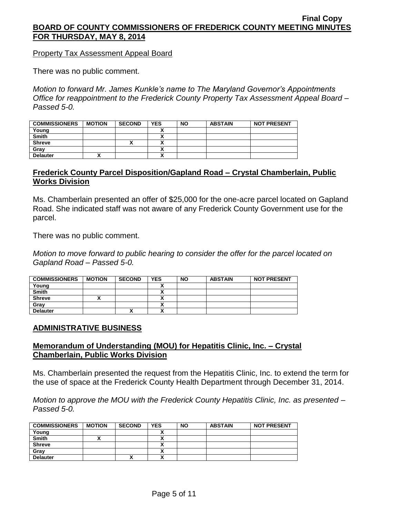Property Tax Assessment Appeal Board

There was no public comment.

*Motion to forward Mr. James Kunkle's name to The Maryland Governor's Appointments Office for reappointment to the Frederick County Property Tax Assessment Appeal Board – Passed 5-0.*

| <b>COMMISSIONERS</b> | <b>MOTION</b> | <b>SECOND</b> | <b>YES</b> | <b>NO</b> | <b>ABSTAIN</b> | <b>NOT PRESENT</b> |
|----------------------|---------------|---------------|------------|-----------|----------------|--------------------|
| Young                |               |               |            |           |                |                    |
| <b>Smith</b>         |               |               |            |           |                |                    |
| <b>Shreve</b>        |               | Λ             |            |           |                |                    |
| Gray                 |               |               |            |           |                |                    |
| <b>Delauter</b>      |               |               |            |           |                |                    |

## **Frederick County Parcel Disposition/Gapland Road – Crystal Chamberlain, Public Works Division**

Ms. Chamberlain presented an offer of \$25,000 for the one-acre parcel located on Gapland Road. She indicated staff was not aware of any Frederick County Government use for the parcel.

There was no public comment.

*Motion to move forward to public hearing to consider the offer for the parcel located on Gapland Road – Passed 5-0.*

| <b>COMMISSIONERS</b> | <b>MOTION</b> | <b>SECOND</b> | <b>YES</b>        | <b>NO</b> | <b>ABSTAIN</b> | <b>NOT PRESENT</b> |
|----------------------|---------------|---------------|-------------------|-----------|----------------|--------------------|
| Young                |               |               |                   |           |                |                    |
| <b>Smith</b>         |               |               |                   |           |                |                    |
| <b>Shreve</b>        |               |               |                   |           |                |                    |
| Gray                 |               |               | Λ                 |           |                |                    |
| <b>Delauter</b>      |               | "             | v<br>$\mathbf{v}$ |           |                |                    |

## **ADMINISTRATIVE BUSINESS**

## **Memorandum of Understanding (MOU) for Hepatitis Clinic, Inc. – Crystal Chamberlain, Public Works Division**

Ms. Chamberlain presented the request from the Hepatitis Clinic, Inc. to extend the term for the use of space at the Frederick County Health Department through December 31, 2014.

*Motion to approve the MOU with the Frederick County Hepatitis Clinic, Inc. as presented – Passed 5-0.*

| <b>COMMISSIONERS</b> | <b>MOTION</b> | <b>SECOND</b> | <b>YES</b> | <b>NO</b> | <b>ABSTAIN</b> | <b>NOT PRESENT</b> |
|----------------------|---------------|---------------|------------|-----------|----------------|--------------------|
| Young                |               |               |            |           |                |                    |
| <b>Smith</b>         |               |               |            |           |                |                    |
| <b>Shreve</b>        |               |               |            |           |                |                    |
| Gray                 |               |               |            |           |                |                    |
| <b>Delauter</b>      |               | Λ             | v          |           |                |                    |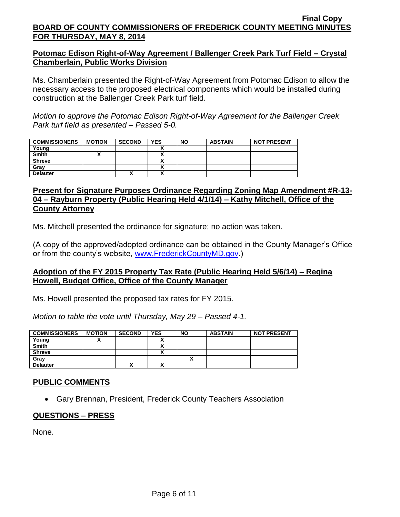## **Potomac Edison Right-of-Way Agreement / Ballenger Creek Park Turf Field – Crystal Chamberlain, Public Works Division**

Ms. Chamberlain presented the Right-of-Way Agreement from Potomac Edison to allow the necessary access to the proposed electrical components which would be installed during construction at the Ballenger Creek Park turf field.

*Motion to approve the Potomac Edison Right-of-Way Agreement for the Ballenger Creek Park turf field as presented – Passed 5-0.*

| <b>COMMISSIONERS</b> | <b>MOTION</b> | <b>SECOND</b> | <b>YES</b> | <b>NO</b> | <b>ABSTAIN</b> | <b>NOT PRESENT</b> |
|----------------------|---------------|---------------|------------|-----------|----------------|--------------------|
| Young                |               |               |            |           |                |                    |
| <b>Smith</b>         |               |               |            |           |                |                    |
| <b>Shreve</b>        |               |               |            |           |                |                    |
| Grav                 |               |               |            |           |                |                    |
| <b>Delauter</b>      |               | ^             |            |           |                |                    |

## **Present for Signature Purposes Ordinance Regarding Zoning Map Amendment #R-13- 04 – Rayburn Property (Public Hearing Held 4/1/14) – Kathy Mitchell, Office of the County Attorney**

Ms. Mitchell presented the ordinance for signature; no action was taken.

(A copy of the approved/adopted ordinance can be obtained in the County Manager's Office or from the county's website, [www.FrederickCountyMD.gov.](http://www.frederickcountymd.gov/))

## **Adoption of the FY 2015 Property Tax Rate (Public Hearing Held 5/6/14) – Regina Howell, Budget Office, Office of the County Manager**

Ms. Howell presented the proposed tax rates for FY 2015.

*Motion to table the vote until Thursday, May 29 – Passed 4-1.*

| <b>COMMISSIONERS</b> | <b>MOTION</b> | <b>SECOND</b> | <b>YES</b> | <b>NO</b> | <b>ABSTAIN</b> | <b>NOT PRESENT</b> |
|----------------------|---------------|---------------|------------|-----------|----------------|--------------------|
| Young                |               |               |            |           |                |                    |
| <b>Smith</b>         |               |               |            |           |                |                    |
| <b>Shreve</b>        |               |               |            |           |                |                    |
| Grav                 |               |               |            |           |                |                    |
| <b>Delauter</b>      |               | Λ             |            |           |                |                    |

# **PUBLIC COMMENTS**

Gary Brennan, President, Frederick County Teachers Association

## **QUESTIONS – PRESS**

None.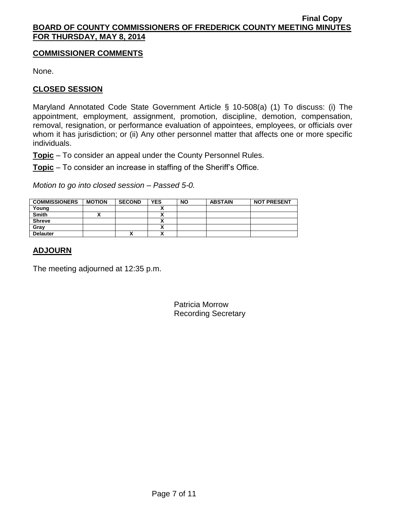## **COMMISSIONER COMMENTS**

None.

## **CLOSED SESSION**

Maryland Annotated Code State Government Article § 10-508(a) (1) To discuss: (i) The appointment, employment, assignment, promotion, discipline, demotion, compensation, removal, resignation, or performance evaluation of appointees, employees, or officials over whom it has jurisdiction; or (ii) Any other personnel matter that affects one or more specific individuals.

**Topic** – To consider an appeal under the County Personnel Rules.

**Topic** – To consider an increase in staffing of the Sheriff's Office.

*Motion to go into closed session – Passed 5-0.*

| <b>COMMISSIONERS</b> | <b>MOTION</b> | <b>SECOND</b> | <b>YES</b>               | <b>NO</b> | <b>ABSTAIN</b> | <b>NOT PRESENT</b> |
|----------------------|---------------|---------------|--------------------------|-----------|----------------|--------------------|
| Young                |               |               |                          |           |                |                    |
| <b>Smith</b>         |               |               | . .                      |           |                |                    |
| <b>Shreve</b>        |               |               | . .                      |           |                |                    |
| Gray                 |               |               | ~                        |           |                |                    |
| <b>Delauter</b>      |               | Λ             | $\ddot{\phantom{a}}$<br> |           |                |                    |

# **ADJOURN**

The meeting adjourned at 12:35 p.m.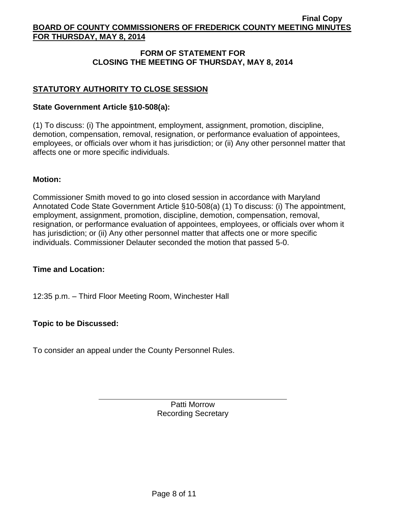## **FORM OF STATEMENT FOR CLOSING THE MEETING OF THURSDAY, MAY 8, 2014**

## **STATUTORY AUTHORITY TO CLOSE SESSION**

### **State Government Article §10-508(a):**

(1) To discuss: (i) The appointment, employment, assignment, promotion, discipline, demotion, compensation, removal, resignation, or performance evaluation of appointees, employees, or officials over whom it has jurisdiction; or (ii) Any other personnel matter that affects one or more specific individuals.

#### **Motion:**

Commissioner Smith moved to go into closed session in accordance with Maryland Annotated Code State Government Article §10-508(a) (1) To discuss: (i) The appointment, employment, assignment, promotion, discipline, demotion, compensation, removal, resignation, or performance evaluation of appointees, employees, or officials over whom it has jurisdiction; or (ii) Any other personnel matter that affects one or more specific individuals. Commissioner Delauter seconded the motion that passed 5-0.

## **Time and Location:**

12:35 p.m. – Third Floor Meeting Room, Winchester Hall

## **Topic to be Discussed:**

To consider an appeal under the County Personnel Rules.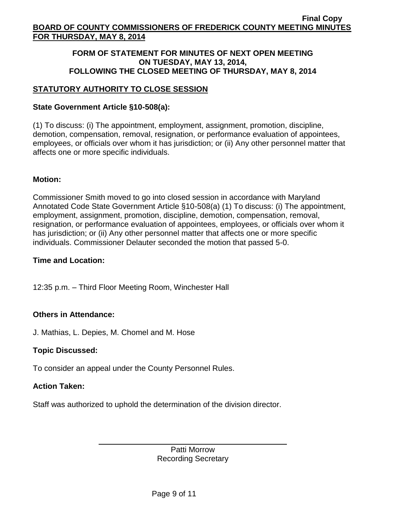## **FORM OF STATEMENT FOR MINUTES OF NEXT OPEN MEETING ON TUESDAY, MAY 13, 2014, FOLLOWING THE CLOSED MEETING OF THURSDAY, MAY 8, 2014**

# **STATUTORY AUTHORITY TO CLOSE SESSION**

## **State Government Article §10-508(a):**

(1) To discuss: (i) The appointment, employment, assignment, promotion, discipline, demotion, compensation, removal, resignation, or performance evaluation of appointees, employees, or officials over whom it has jurisdiction; or (ii) Any other personnel matter that affects one or more specific individuals.

## **Motion:**

Commissioner Smith moved to go into closed session in accordance with Maryland Annotated Code State Government Article §10-508(a) (1) To discuss: (i) The appointment, employment, assignment, promotion, discipline, demotion, compensation, removal, resignation, or performance evaluation of appointees, employees, or officials over whom it has jurisdiction; or (ii) Any other personnel matter that affects one or more specific individuals. Commissioner Delauter seconded the motion that passed 5-0.

## **Time and Location:**

12:35 p.m. – Third Floor Meeting Room, Winchester Hall

## **Others in Attendance:**

J. Mathias, L. Depies, M. Chomel and M. Hose

## **Topic Discussed:**

To consider an appeal under the County Personnel Rules.

# **Action Taken:**

Staff was authorized to uphold the determination of the division director.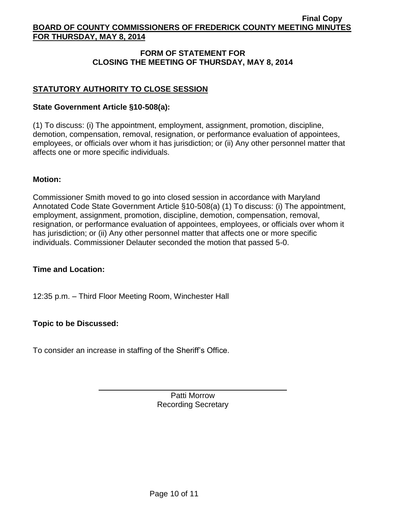## **FORM OF STATEMENT FOR CLOSING THE MEETING OF THURSDAY, MAY 8, 2014**

## **STATUTORY AUTHORITY TO CLOSE SESSION**

### **State Government Article §10-508(a):**

(1) To discuss: (i) The appointment, employment, assignment, promotion, discipline, demotion, compensation, removal, resignation, or performance evaluation of appointees, employees, or officials over whom it has jurisdiction; or (ii) Any other personnel matter that affects one or more specific individuals.

#### **Motion:**

Commissioner Smith moved to go into closed session in accordance with Maryland Annotated Code State Government Article §10-508(a) (1) To discuss: (i) The appointment, employment, assignment, promotion, discipline, demotion, compensation, removal, resignation, or performance evaluation of appointees, employees, or officials over whom it has jurisdiction; or (ii) Any other personnel matter that affects one or more specific individuals. Commissioner Delauter seconded the motion that passed 5-0.

## **Time and Location:**

12:35 p.m. – Third Floor Meeting Room, Winchester Hall

## **Topic to be Discussed:**

To consider an increase in staffing of the Sheriff's Office.